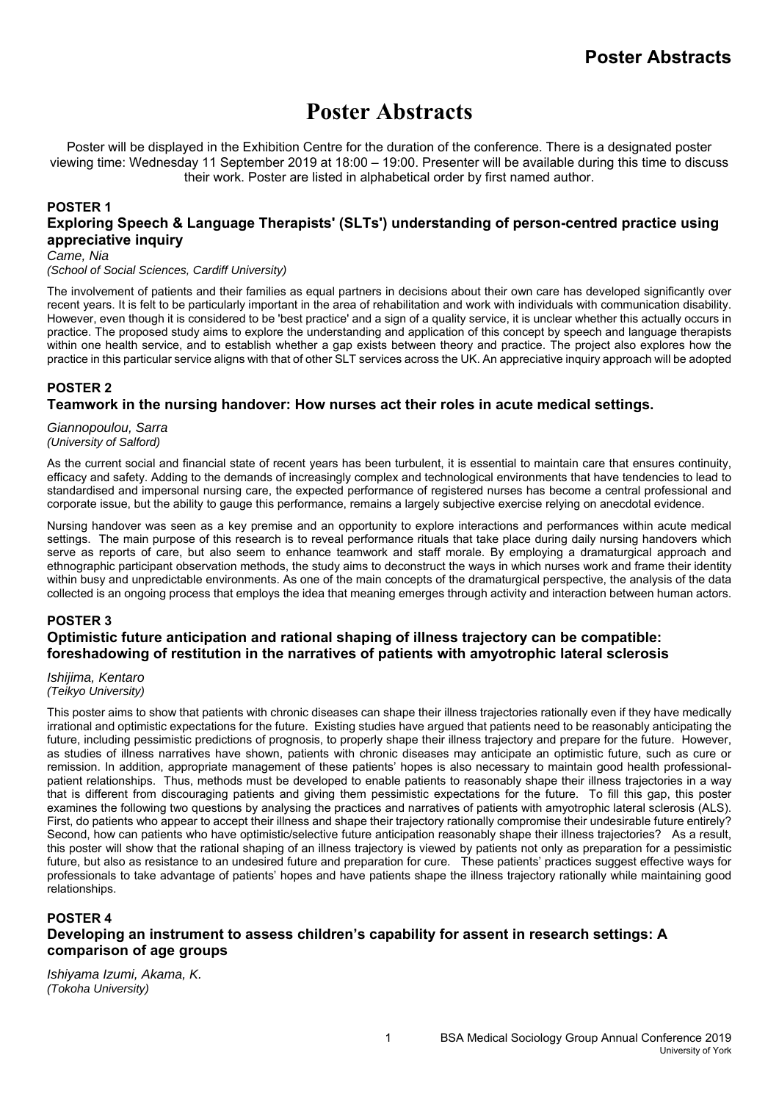# **Poster Abstracts**

Poster will be displayed in the Exhibition Centre for the duration of the conference. There is a designated poster viewing time: Wednesday 11 September 2019 at 18:00 – 19:00. Presenter will be available during this time to discuss their work. Poster are listed in alphabetical order by first named author.

#### **POSTER 1 Exploring Speech & Language Therapists' (SLTs') understanding of person-centred practice using appreciative inquiry**  *Came, Nia*

*(School of Social Sciences, Cardiff University)*

The involvement of patients and their families as equal partners in decisions about their own care has developed significantly over recent years. It is felt to be particularly important in the area of rehabilitation and work with individuals with communication disability. However, even though it is considered to be 'best practice' and a sign of a quality service, it is unclear whether this actually occurs in practice. The proposed study aims to explore the understanding and application of this concept by speech and language therapists within one health service, and to establish whether a gap exists between theory and practice. The project also explores how the practice in this particular service aligns with that of other SLT services across the UK. An appreciative inquiry approach will be adopted

# **POSTER 2 Teamwork in the nursing handover: How nurses act their roles in acute medical settings.**

*Giannopoulou, Sarra (University of Salford)*

As the current social and financial state of recent years has been turbulent, it is essential to maintain care that ensures continuity, efficacy and safety. Adding to the demands of increasingly complex and technological environments that have tendencies to lead to standardised and impersonal nursing care, the expected performance of registered nurses has become a central professional and corporate issue, but the ability to gauge this performance, remains a largely subjective exercise relying on anecdotal evidence.

Nursing handover was seen as a key premise and an opportunity to explore interactions and performances within acute medical settings. The main purpose of this research is to reveal performance rituals that take place during daily nursing handovers which serve as reports of care, but also seem to enhance teamwork and staff morale. By employing a dramaturgical approach and ethnographic participant observation methods, the study aims to deconstruct the ways in which nurses work and frame their identity within busy and unpredictable environments. As one of the main concepts of the dramaturgical perspective, the analysis of the data collected is an ongoing process that employs the idea that meaning emerges through activity and interaction between human actors.

## **POSTER 3 Optimistic future anticipation and rational shaping of illness trajectory can be compatible: foreshadowing of restitution in the narratives of patients with amyotrophic lateral sclerosis**

*Ishijima, Kentaro (Teikyo University)*

This poster aims to show that patients with chronic diseases can shape their illness trajectories rationally even if they have medically irrational and optimistic expectations for the future. Existing studies have argued that patients need to be reasonably anticipating the future, including pessimistic predictions of prognosis, to properly shape their illness trajectory and prepare for the future. However, as studies of illness narratives have shown, patients with chronic diseases may anticipate an optimistic future, such as cure or remission. In addition, appropriate management of these patients' hopes is also necessary to maintain good health professionalpatient relationships. Thus, methods must be developed to enable patients to reasonably shape their illness trajectories in a way that is different from discouraging patients and giving them pessimistic expectations for the future. To fill this gap, this poster examines the following two questions by analysing the practices and narratives of patients with amyotrophic lateral sclerosis (ALS). First, do patients who appear to accept their illness and shape their trajectory rationally compromise their undesirable future entirely? Second, how can patients who have optimistic/selective future anticipation reasonably shape their illness trajectories? As a result, this poster will show that the rational shaping of an illness trajectory is viewed by patients not only as preparation for a pessimistic future, but also as resistance to an undesired future and preparation for cure. These patients' practices suggest effective ways for professionals to take advantage of patients' hopes and have patients shape the illness trajectory rationally while maintaining good relationships.

#### **POSTER 4 Developing an instrument to assess children's capability for assent in research settings: A comparison of age groups**

*Ishiyama Izumi, Akama, K. (Tokoha University)*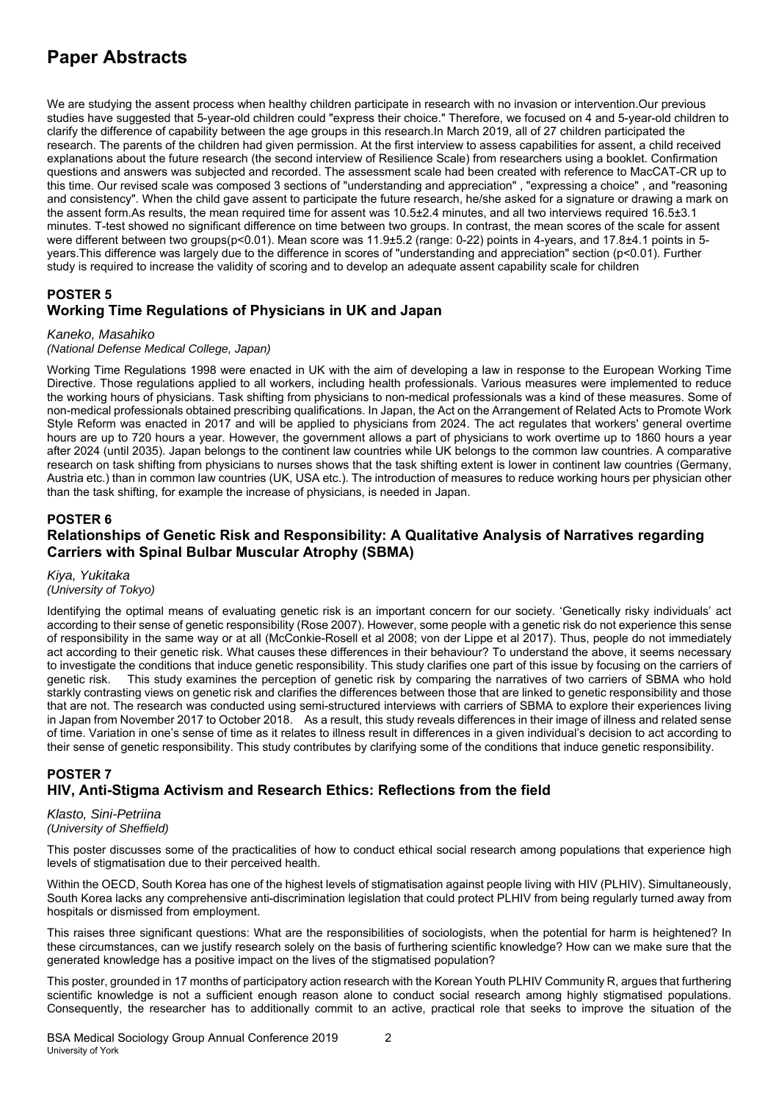# **Paper Abstracts**

We are studying the assent process when healthy children participate in research with no invasion or intervention.Our previous studies have suggested that 5-year-old children could "express their choice." Therefore, we focused on 4 and 5-year-old children to clarify the difference of capability between the age groups in this research.In March 2019, all of 27 children participated the research. The parents of the children had given permission. At the first interview to assess capabilities for assent, a child received explanations about the future research (the second interview of Resilience Scale) from researchers using a booklet. Confirmation questions and answers was subjected and recorded. The assessment scale had been created with reference to MacCAT-CR up to this time. Our revised scale was composed 3 sections of "understanding and appreciation" , "expressing a choice" , and "reasoning and consistency". When the child gave assent to participate the future research, he/she asked for a signature or drawing a mark on the assent form.As results, the mean required time for assent was 10.5±2.4 minutes, and all two interviews required 16.5±3.1 minutes. T-test showed no significant difference on time between two groups. In contrast, the mean scores of the scale for assent were different between two groups(p<0.01). Mean score was 11.9±5.2 (range: 0-22) points in 4-years, and 17.8±4.1 points in 5years.This difference was largely due to the difference in scores of "understanding and appreciation" section (p<0.01). Further study is required to increase the validity of scoring and to develop an adequate assent capability scale for children

## **POSTER 5 Working Time Regulations of Physicians in UK and Japan**

#### *Kaneko, Masahiko*

## *(National Defense Medical College, Japan)*

Working Time Regulations 1998 were enacted in UK with the aim of developing a law in response to the European Working Time Directive. Those regulations applied to all workers, including health professionals. Various measures were implemented to reduce the working hours of physicians. Task shifting from physicians to non-medical professionals was a kind of these measures. Some of non-medical professionals obtained prescribing qualifications. In Japan, the Act on the Arrangement of Related Acts to Promote Work Style Reform was enacted in 2017 and will be applied to physicians from 2024. The act regulates that workers' general overtime hours are up to 720 hours a year. However, the government allows a part of physicians to work overtime up to 1860 hours a year after 2024 (until 2035). Japan belongs to the continent law countries while UK belongs to the common law countries. A comparative research on task shifting from physicians to nurses shows that the task shifting extent is lower in continent law countries (Germany, Austria etc.) than in common law countries (UK, USA etc.). The introduction of measures to reduce working hours per physician other than the task shifting, for example the increase of physicians, is needed in Japan.

## **POSTER 6**

# **Relationships of Genetic Risk and Responsibility: A Qualitative Analysis of Narratives regarding Carriers with Spinal Bulbar Muscular Atrophy (SBMA)**

*Kiya, Yukitaka (University of Tokyo)*

Identifying the optimal means of evaluating genetic risk is an important concern for our society. 'Genetically risky individuals' act according to their sense of genetic responsibility (Rose 2007). However, some people with a genetic risk do not experience this sense of responsibility in the same way or at all (McConkie-Rosell et al 2008; von der Lippe et al 2017). Thus, people do not immediately act according to their genetic risk. What causes these differences in their behaviour? To understand the above, it seems necessary to investigate the conditions that induce genetic responsibility. This study clarifies one part of this issue by focusing on the carriers of genetic risk. This study examines the perception of genetic risk by comparing the narratives of two carriers of SBMA who hold starkly contrasting views on genetic risk and clarifies the differences between those that are linked to genetic responsibility and those that are not. The research was conducted using semi-structured interviews with carriers of SBMA to explore their experiences living in Japan from November 2017 to October 2018. As a result, this study reveals differences in their image of illness and related sense of time. Variation in one's sense of time as it relates to illness result in differences in a given individual's decision to act according to their sense of genetic responsibility. This study contributes by clarifying some of the conditions that induce genetic responsibility.

# **POSTER 7 HIV, Anti-Stigma Activism and Research Ethics: Reflections from the field**

*Klasto, Sini-Petriina (University of Sheffield)*

This poster discusses some of the practicalities of how to conduct ethical social research among populations that experience high levels of stigmatisation due to their perceived health.

Within the OECD, South Korea has one of the highest levels of stigmatisation against people living with HIV (PLHIV). Simultaneously, South Korea lacks any comprehensive anti-discrimination legislation that could protect PLHIV from being regularly turned away from hospitals or dismissed from employment.

This raises three significant questions: What are the responsibilities of sociologists, when the potential for harm is heightened? In these circumstances, can we justify research solely on the basis of furthering scientific knowledge? How can we make sure that the generated knowledge has a positive impact on the lives of the stigmatised population?

This poster, grounded in 17 months of participatory action research with the Korean Youth PLHIV Community R, argues that furthering scientific knowledge is not a sufficient enough reason alone to conduct social research among highly stigmatised populations. Consequently, the researcher has to additionally commit to an active, practical role that seeks to improve the situation of the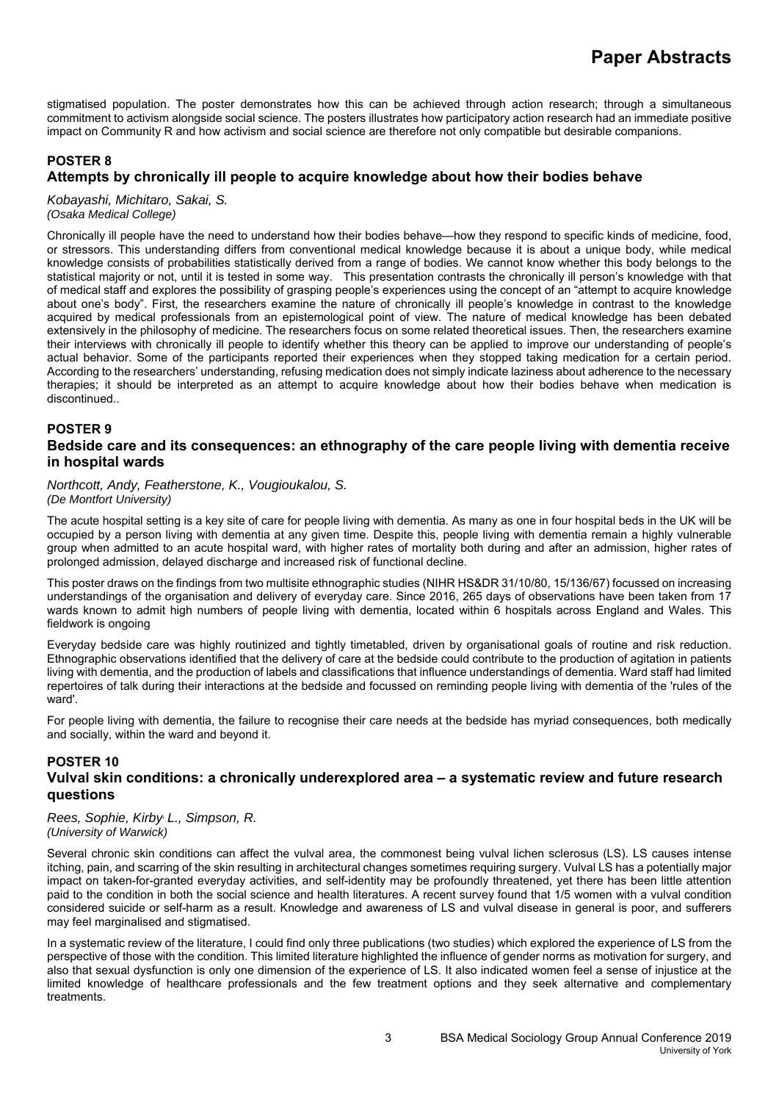stigmatised population. The poster demonstrates how this can be achieved through action research; through a simultaneous commitment to activism alongside social science. The posters illustrates how participatory action research had an immediate positive impact on Community R and how activism and social science are therefore not only compatible but desirable companions.

# **POSTER 8 Attempts by chronically ill people to acquire knowledge about how their bodies behave**

*Kobayashi, Michitaro, Sakai, S. (Osaka Medical College)*

Chronically ill people have the need to understand how their bodies behave—how they respond to specific kinds of medicine, food, or stressors. This understanding differs from conventional medical knowledge because it is about a unique body, while medical knowledge consists of probabilities statistically derived from a range of bodies. We cannot know whether this body belongs to the statistical majority or not, until it is tested in some way. This presentation contrasts the chronically ill person's knowledge with that of medical staff and explores the possibility of grasping people's experiences using the concept of an "attempt to acquire knowledge about one's body". First, the researchers examine the nature of chronically ill people's knowledge in contrast to the knowledge acquired by medical professionals from an epistemological point of view. The nature of medical knowledge has been debated extensively in the philosophy of medicine. The researchers focus on some related theoretical issues. Then, the researchers examine their interviews with chronically ill people to identify whether this theory can be applied to improve our understanding of people's actual behavior. Some of the participants reported their experiences when they stopped taking medication for a certain period. According to the researchers' understanding, refusing medication does not simply indicate laziness about adherence to the necessary therapies; it should be interpreted as an attempt to acquire knowledge about how their bodies behave when medication is discontinued..

## **POSTER 9**

#### **Bedside care and its consequences: an ethnography of the care people living with dementia receive in hospital wards**

*Northcott, Andy, Featherstone, K., Vougioukalou, S. (De Montfort University)*

The acute hospital setting is a key site of care for people living with dementia. As many as one in four hospital beds in the UK will be occupied by a person living with dementia at any given time. Despite this, people living with dementia remain a highly vulnerable group when admitted to an acute hospital ward, with higher rates of mortality both during and after an admission, higher rates of prolonged admission, delayed discharge and increased risk of functional decline.

This poster draws on the findings from two multisite ethnographic studies (NIHR HS&DR 31/10/80, 15/136/67) focussed on increasing understandings of the organisation and delivery of everyday care. Since 2016, 265 days of observations have been taken from 17 wards known to admit high numbers of people living with dementia, located within 6 hospitals across England and Wales. This fieldwork is ongoing

Everyday bedside care was highly routinized and tightly timetabled, driven by organisational goals of routine and risk reduction. Ethnographic observations identified that the delivery of care at the bedside could contribute to the production of agitation in patients living with dementia, and the production of labels and classifications that influence understandings of dementia. Ward staff had limited repertoires of talk during their interactions at the bedside and focussed on reminding people living with dementia of the 'rules of the ward'.

For people living with dementia, the failure to recognise their care needs at the bedside has myriad consequences, both medically and socially, within the ward and beyond it.

#### **POSTER 10 Vulval skin conditions: a chronically underexplored area – a systematic review and future research questions**

*Rees, Sophie, Kirby, L., Simpson, R. (University of Warwick)*

Several chronic skin conditions can affect the vulval area, the commonest being vulval lichen sclerosus (LS). LS causes intense itching, pain, and scarring of the skin resulting in architectural changes sometimes requiring surgery. Vulval LS has a potentially major impact on taken-for-granted everyday activities, and self-identity may be profoundly threatened, yet there has been little attention paid to the condition in both the social science and health literatures. A recent survey found that 1/5 women with a vulval condition considered suicide or self-harm as a result. Knowledge and awareness of LS and vulval disease in general is poor, and sufferers may feel marginalised and stigmatised.

In a systematic review of the literature, I could find only three publications (two studies) which explored the experience of LS from the perspective of those with the condition. This limited literature highlighted the influence of gender norms as motivation for surgery, and also that sexual dysfunction is only one dimension of the experience of LS. It also indicated women feel a sense of injustice at the limited knowledge of healthcare professionals and the few treatment options and they seek alternative and complementary treatments.